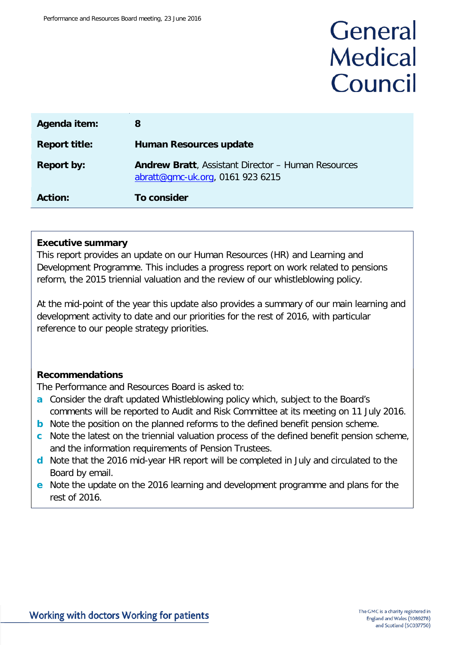# General **Medical** Council

| Agenda item:         | 8                                                                                             |
|----------------------|-----------------------------------------------------------------------------------------------|
| <b>Report title:</b> | <b>Human Resources update</b>                                                                 |
| <b>Report by:</b>    | <b>Andrew Bratt, Assistant Director - Human Resources</b><br>abratt@gmc-uk.org, 0161 923 6215 |
| <b>Action:</b>       | To consider                                                                                   |

#### **Executive summary**

This report provides an update on our Human Resources (HR) and Learning and Development Programme. This includes a progress report on work related to pensions reform, the 2015 triennial valuation and the review of our whistleblowing policy.

At the mid-point of the year this update also provides a summary of our main learning and development activity to date and our priorities for the rest of 2016, with particular reference to our people strategy priorities.

#### **Recommendations**

The Performance and Resources Board is asked to:

- **a** Consider the draft updated Whistleblowing policy which, subject to the Board's comments will be reported to Audit and Risk Committee at its meeting on 11 July 2016.
- **b** Note the position on the planned reforms to the defined benefit pension scheme.
- **c** Note the latest on the triennial valuation process of the defined benefit pension scheme, and the information requirements of Pension Trustees.
- **d** Note that the 2016 mid-year HR report will be completed in July and circulated to the Board by email.
- **e** Note the update on the 2016 learning and development programme and plans for the rest of 2016.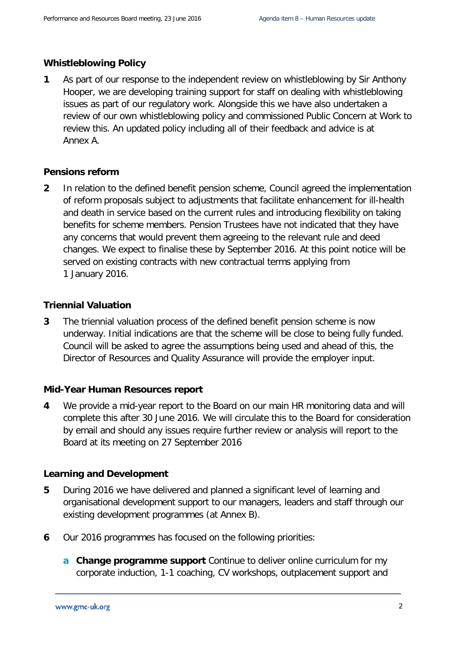#### **Whistleblowing Policy**

**1** As part of our response to the independent review on whistleblowing by Sir Anthony Hooper, we are developing training support for staff on dealing with whistleblowing issues as part of our regulatory work. Alongside this we have also undertaken a review of our own whistleblowing policy and commissioned Public Concern at Work to review this. An updated policy including all of their feedback and advice is at Annex A.

#### **Pensions reform**

**2** In relation to the defined benefit pension scheme, Council agreed the implementation of reform proposals subject to adjustments that facilitate enhancement for ill-health and death in service based on the current rules and introducing flexibility on taking benefits for scheme members. Pension Trustees have not indicated that they have any concerns that would prevent them agreeing to the relevant rule and deed changes. We expect to finalise these by September 2016. At this point notice will be served on existing contracts with new contractual terms applying from 1 January 2016.

#### **Triennial Valuation**

**3** The triennial valuation process of the defined benefit pension scheme is now underway. Initial indications are that the scheme will be close to being fully funded. Council will be asked to agree the assumptions being used and ahead of this, the Director of Resources and Quality Assurance will provide the employer input.

#### **Mid-Year Human Resources report**

**4** We provide a mid-year report to the Board on our main HR monitoring data and will complete this after 30 June 2016. We will circulate this to the Board for consideration by email and should any issues require further review or analysis will report to the Board at its meeting on 27 September 2016

#### **Learning and Development**

- **5** During 2016 we have delivered and planned a significant level of learning and organisational development support to our managers, leaders and staff through our existing development programmes (at Annex B).
- **6** Our 2016 programmes has focused on the following priorities:
	- **a Change programme support** Continue to deliver online curriculum for my corporate induction, 1-1 coaching, CV workshops, outplacement support and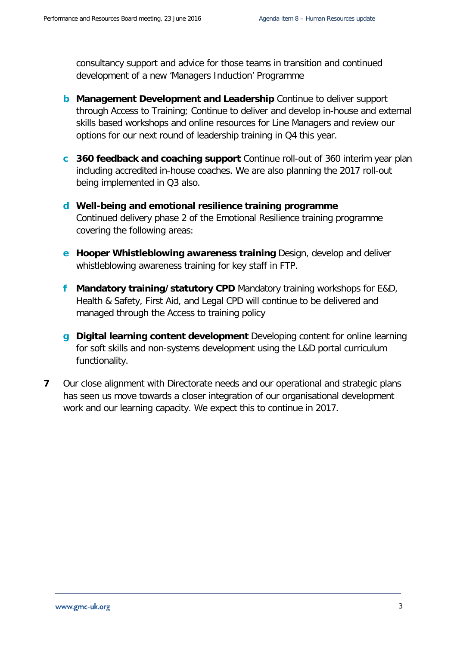consultancy support and advice for those teams in transition and continued development of a new 'Managers Induction' Programme

- **b Management Development and Leadership** Continue to deliver support through Access to Training; Continue to deliver and develop in-house and external skills based workshops and online resources for Line Managers and review our options for our next round of leadership training in Q4 this year.
- **c 360 feedback and coaching support** Continue roll-out of 360 interim year plan including accredited in-house coaches. We are also planning the 2017 roll-out being implemented in Q3 also.
- **d Well-being and emotional resilience training programme** Continued delivery phase 2 of the Emotional Resilience training programme covering the following areas:
- **e Hooper Whistleblowing awareness training** Design, develop and deliver whistleblowing awareness training for key staff in FTP.
- **f Mandatory training/statutory CPD** Mandatory training workshops for E&D, Health & Safety, First Aid, and Legal CPD will continue to be delivered and managed through the Access to training policy
- **g Digital learning content development** Developing content for online learning for soft skills and non-systems development using the L&D portal curriculum functionality.
- **7** Our close alignment with Directorate needs and our operational and strategic plans has seen us move towards a closer integration of our organisational development work and our learning capacity. We expect this to continue in 2017.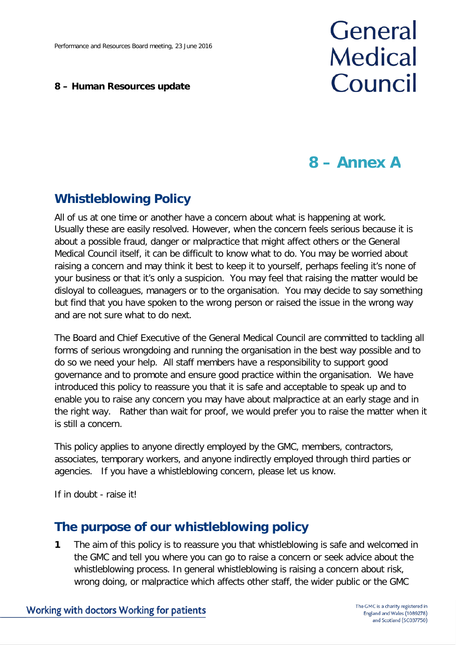#### **8 – Human Resources update**

# General **Medical** Council

## **8 – Annex A**

## **Whistleblowing Policy**

All of us at one time or another have a concern about what is happening at work. Usually these are easily resolved. However, when the concern feels serious because it is about a possible fraud, danger or malpractice that might affect others or the General Medical Council itself, it can be difficult to know what to do. You may be worried about raising a concern and may think it best to keep it to yourself, perhaps feeling it's none of your business or that it's only a suspicion. You may feel that raising the matter would be disloyal to colleagues, managers or to the organisation. You may decide to say something but find that you have spoken to the wrong person or raised the issue in the wrong way and are not sure what to do next.

The Board and Chief Executive of the General Medical Council are committed to tackling all forms of serious wrongdoing and running the organisation in the best way possible and to do so we need your help. All staff members have a responsibility to support good governance and to promote and ensure good practice within the organisation. We have introduced this policy to reassure you that it is safe and acceptable to speak up and to enable you to raise any concern you may have about malpractice at an early stage and in the right way. Rather than wait for proof, we would prefer you to raise the matter when it is still a concern.

This policy applies to anyone directly employed by the GMC, members, contractors, associates, temporary workers, and anyone indirectly employed through third parties or agencies. If you have a whistleblowing concern, please let us know.

If in doubt - raise it!

#### **The purpose of our whistleblowing policy**

**1** The aim of this policy is to reassure you that whistleblowing is safe and welcomed in the GMC and tell you where you can go to raise a concern or seek advice about the whistleblowing process. In general whistleblowing is raising a concern about risk, wrong doing, or malpractice which affects other staff, the wider public or the GMC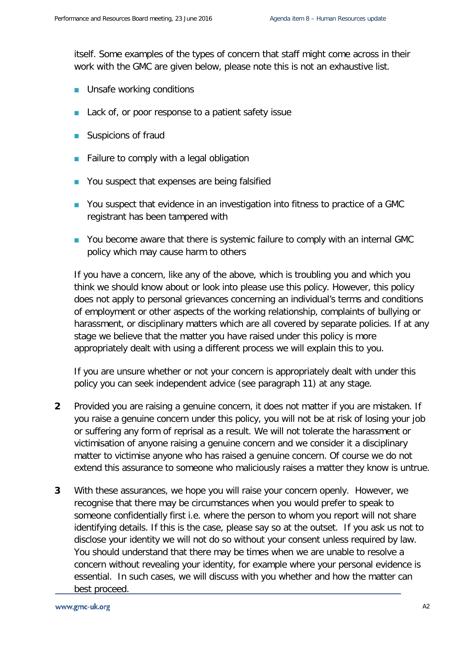itself. Some examples of the types of concern that staff might come across in their work with the GMC are given below, please note this is not an exhaustive list.

- **Unsafe working conditions**
- Lack of, or poor response to a patient safety issue
- **Suspicions of fraud**
- **Failure to comply with a legal obligation**
- You suspect that expenses are being falsified
- You suspect that evidence in an investigation into fitness to practice of a GMC registrant has been tampered with
- **Part You become aware that there is systemic failure to comply with an internal GMC** policy which may cause harm to others

If you have a concern, like any of the above, which is troubling you and which you think we should know about or look into please use this policy. However, this policy does not apply to personal grievances concerning an individual's terms and conditions of employment or other aspects of the working relationship, complaints of bullying or harassment, or disciplinary matters which are all covered by separate policies. If at any stage we believe that the matter you have raised under this policy is more appropriately dealt with using a different process we will explain this to you.

If you are unsure whether or not your concern is appropriately dealt with under this policy you can seek independent advice (see paragraph 11) at any stage.

- **2** Provided you are raising a genuine concern, it does not matter if you are mistaken. If you raise a genuine concern under this policy, you will not be at risk of losing your job or suffering any form of reprisal as a result. We will not tolerate the harassment or victimisation of anyone raising a genuine concern and we consider it a disciplinary matter to victimise anyone who has raised a genuine concern. Of course we do not extend this assurance to someone who maliciously raises a matter they know is untrue.
- **3** With these assurances, we hope you will raise your concern openly. However, we recognise that there may be circumstances when you would prefer to speak to someone confidentially first i.e. where the person to whom you report will not share identifying details. If this is the case, please say so at the outset. If you ask us not to disclose your identity we will not do so without your consent unless required by law. You should understand that there may be times when we are unable to resolve a concern without revealing your identity, for example where your personal evidence is essential. In such cases, we will discuss with you whether and how the matter can best proceed.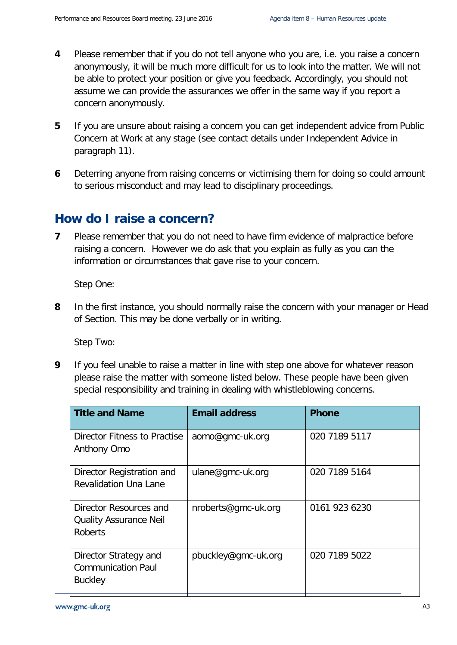- **4** Please remember that if you do not tell anyone who you are, i.e. you raise a concern anonymously, it will be much more difficult for us to look into the matter. We will not be able to protect your position or give you feedback. Accordingly, you should not assume we can provide the assurances we offer in the same way if you report a concern anonymously.
- **5** If you are unsure about raising a concern you can get independent advice from Public Concern at Work at any stage (see contact details under Independent Advice in paragraph 11).
- **6** Deterring anyone from raising concerns or victimising them for doing so could amount to serious misconduct and may lead to disciplinary proceedings.

## **How do I raise a concern?**

**7** Please remember that you do not need to have firm evidence of malpractice before raising a concern. However we do ask that you explain as fully as you can the information or circumstances that gave rise to your concern.

Step One:

**8** In the first instance, you should normally raise the concern with your manager or Head of Section. This may be done verbally or in writing.

Step Two:

**9** If you feel unable to raise a matter in line with step one above for whatever reason please raise the matter with someone listed below. These people have been given special responsibility and training in dealing with whistleblowing concerns.

| <b>Title and Name</b>                                                | <b>Email address</b> | <b>Phone</b>  |
|----------------------------------------------------------------------|----------------------|---------------|
| Director Fitness to Practise<br>Anthony Omo                          | aomo@gmc-uk.org      | 020 7189 5117 |
| Director Registration and<br><b>Revalidation Una Lane</b>            | ulane@gmc-uk.org     | 020 7189 5164 |
| Director Resources and<br><b>Quality Assurance Neil</b><br>Roberts   | nroberts@gmc-uk.org  | 0161 923 6230 |
| Director Strategy and<br><b>Communication Paul</b><br><b>Buckley</b> | pbuckley@gmc-uk.org  | 020 7189 5022 |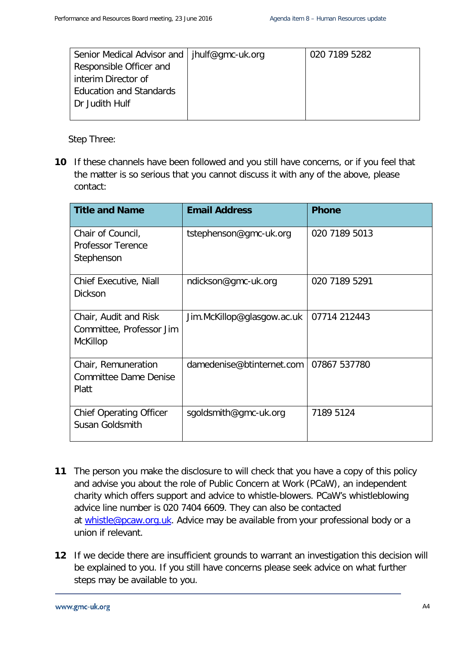| Senior Medical Advisor and   jhulf@gmc-uk.org | 020 7189 5282 |
|-----------------------------------------------|---------------|
| Responsible Officer and                       |               |
| interim Director of                           |               |
| <b>Education and Standards</b>                |               |
| Dr Judith Hulf                                |               |
|                                               |               |

Step Three:

**10** If these channels have been followed and you still have concerns, or if you feel that the matter is so serious that you cannot discuss it with any of the above, please contact:

| <b>Title and Name</b>                                         | <b>Email Address</b>       | <b>Phone</b>  |
|---------------------------------------------------------------|----------------------------|---------------|
| Chair of Council,<br><b>Professor Terence</b><br>Stephenson   | tstephenson@gmc-uk.org     | 020 7189 5013 |
| <b>Chief Executive, Niall</b><br><b>Dickson</b>               | ndickson@gmc-uk.org        | 020 7189 5291 |
| Chair, Audit and Risk<br>Committee, Professor Jim<br>McKillop | Jim.McKillop@glasgow.ac.uk | 07714 212443  |
| Chair, Remuneration<br><b>Committee Dame Denise</b><br>Platt  | damedenise@btinternet.com  | 07867 537780  |
| <b>Chief Operating Officer</b><br>Susan Goldsmith             | sgoldsmith@gmc-uk.org      | 7189 5124     |

- **11** The person you make the disclosure to will check that you have a copy of this policy and advise you about the role of Public Concern at Work (PCaW), an independent charity which offers support and advice to whistle-blowers. PCaW's whistleblowing advice line number is 020 7404 6609. They can also be contacted at [whistle@pcaw.org.uk.](mailto:whistle@pcaw.org.uk) Advice may be available from your professional body or a union if relevant.
- **12** If we decide there are insufficient grounds to warrant an investigation this decision will be explained to you. If you still have concerns please seek advice on what further steps may be available to you.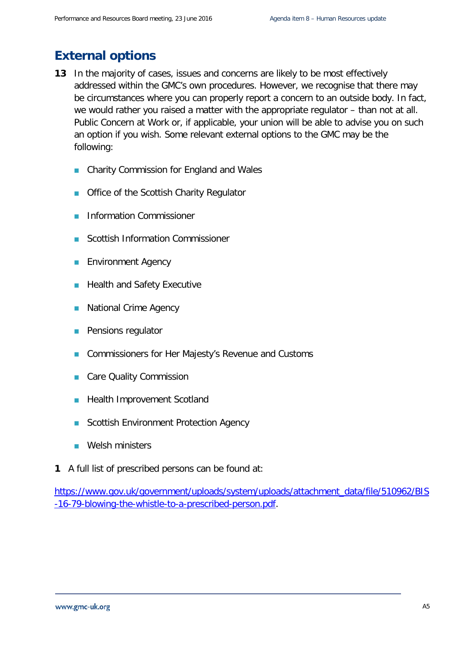## **External options**

- **13** In the majority of cases, issues and concerns are likely to be most effectively addressed within the GMC's own procedures. However, we recognise that there may be circumstances where you can properly report a concern to an outside body. In fact, we would rather you raised a matter with the appropriate regulator – than not at all. Public Concern at Work or, if applicable, your union will be able to advise you on such an option if you wish. Some relevant external options to the GMC may be the following:
	- **n** Charity Commission for England and Wales
	- **Office of the Scottish Charity Regulator**
	- **Information Commissioner**
	- Scottish Information Commissioner
	- Environment Agency
	- **Health and Safety Executive**
	- **National Crime Agency**
	- Pensions regulator
	- **Commissioners for Her Majesty's Revenue and Customs**
	- Care Quality Commission
	- **Health Improvement Scotland**
	- Scottish Environment Protection Agency
	- **Welsh ministers**
- **1** A full list of prescribed persons can be found at:

[https://www.gov.uk/government/uploads/system/uploads/attachment\\_data/file/510962/BIS](https://www.gov.uk/government/uploads/system/uploads/attachment_data/file/510962/BIS-16-79-blowing-the-whistle-to-a-prescribed-person.pdf) [-16-79-blowing-the-whistle-to-a-prescribed-person.pdf.](https://www.gov.uk/government/uploads/system/uploads/attachment_data/file/510962/BIS-16-79-blowing-the-whistle-to-a-prescribed-person.pdf)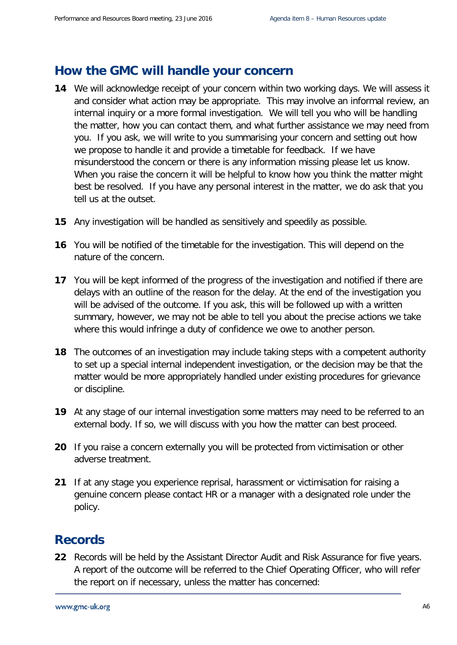#### **How the GMC will handle your concern**

- **14** We will acknowledge receipt of your concern within two working days. We will assess it and consider what action may be appropriate. This may involve an informal review, an internal inquiry or a more formal investigation. We will tell you who will be handling the matter, how you can contact them, and what further assistance we may need from you. If you ask, we will write to you summarising your concern and setting out how we propose to handle it and provide a timetable for feedback. If we have misunderstood the concern or there is any information missing please let us know. When you raise the concern it will be helpful to know how you think the matter might best be resolved. If you have any personal interest in the matter, we do ask that you tell us at the outset.
- **15** Any investigation will be handled as sensitively and speedily as possible.
- **16** You will be notified of the timetable for the investigation. This will depend on the nature of the concern.
- **17** You will be kept informed of the progress of the investigation and notified if there are delays with an outline of the reason for the delay. At the end of the investigation you will be advised of the outcome. If you ask, this will be followed up with a written summary, however, we may not be able to tell you about the precise actions we take where this would infringe a duty of confidence we owe to another person.
- **18** The outcomes of an investigation may include taking steps with a competent authority to set up a special internal independent investigation, or the decision may be that the matter would be more appropriately handled under existing procedures for grievance or discipline.
- **19** At any stage of our internal investigation some matters may need to be referred to an external body. If so, we will discuss with you how the matter can best proceed.
- **20** If you raise a concern externally you will be protected from victimisation or other adverse treatment.
- **21** If at any stage you experience reprisal, harassment or victimisation for raising a genuine concern please contact HR or a manager with a designated role under the policy.

## **Records**

**22** Records will be held by the Assistant Director Audit and Risk Assurance for five years. A report of the outcome will be referred to the Chief Operating Officer, who will refer the report on if necessary, unless the matter has concerned: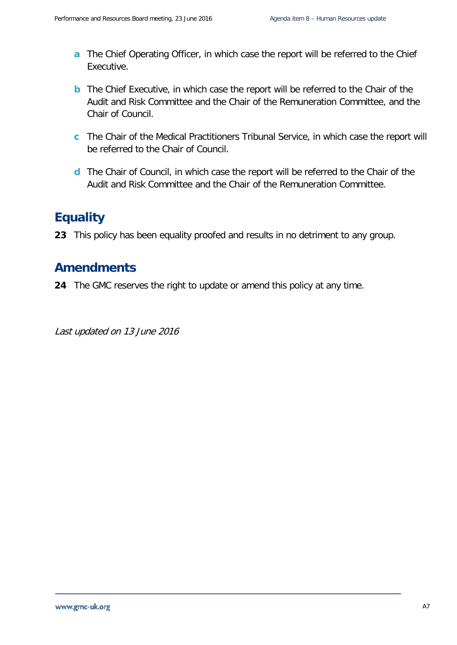- **a** The Chief Operating Officer, in which case the report will be referred to the Chief Executive.
- **b** The Chief Executive, in which case the report will be referred to the Chair of the Audit and Risk Committee and the Chair of the Remuneration Committee, and the Chair of Council.
- **c** The Chair of the Medical Practitioners Tribunal Service, in which case the report will be referred to the Chair of Council.
- **d** The Chair of Council, in which case the report will be referred to the Chair of the Audit and Risk Committee and the Chair of the Remuneration Committee.

## **Equality**

**23** This policy has been equality proofed and results in no detriment to any group.

#### **Amendments**

**24** The GMC reserves the right to update or amend this policy at any time.

Last updated on 13 June 2016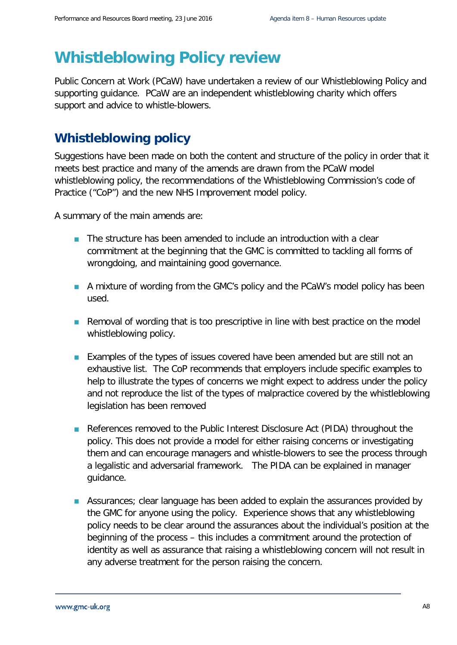## **Whistleblowing Policy review**

Public Concern at Work (PCaW) have undertaken a review of our Whistleblowing Policy and supporting guidance. PCaW are an independent whistleblowing charity which offers support and advice to whistle-blowers.

## **Whistleblowing policy**

Suggestions have been made on both the content and structure of the policy in order that it meets best practice and many of the amends are drawn from the PCaW model whistleblowing policy, the recommendations of the Whistleblowing Commission's code of Practice ("CoP") and the new NHS Improvement model policy.

A summary of the main amends are:

- The structure has been amended to include an introduction with a clear commitment at the beginning that the GMC is committed to tackling all forms of wrongdoing, and maintaining good governance.
- A mixture of wording from the GMC's policy and the PCaW's model policy has been used.
- **Removal of wording that is too prescriptive in line with best practice on the model** whistleblowing policy.
- **Examples of the types of issues covered have been amended but are still not an** exhaustive list. The CoP recommends that employers include specific examples to help to illustrate the types of concerns we might expect to address under the policy and not reproduce the list of the types of malpractice covered by the whistleblowing legislation has been removed
- References removed to the Public Interest Disclosure Act (PIDA) throughout the policy. This does not provide a model for either raising concerns or investigating them and can encourage managers and whistle-blowers to see the process through a legalistic and adversarial framework. The PIDA can be explained in manager guidance.
- **Assurances**; clear language has been added to explain the assurances provided by the GMC for anyone using the policy. Experience shows that any whistleblowing policy needs to be clear around the assurances about the individual's position at the beginning of the process – this includes a commitment around the protection of identity as well as assurance that raising a whistleblowing concern will not result in any adverse treatment for the person raising the concern.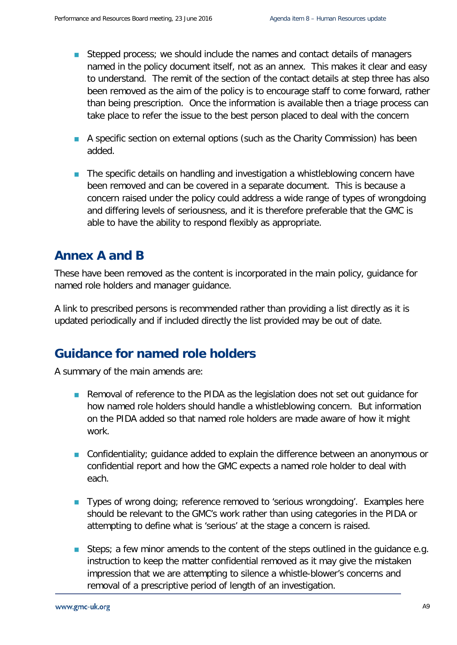- Stepped process; we should include the names and contact details of managers named in the policy document itself, not as an annex. This makes it clear and easy to understand. The remit of the section of the contact details at step three has also been removed as the aim of the policy is to encourage staff to come forward, rather than being prescription. Once the information is available then a triage process can take place to refer the issue to the best person placed to deal with the concern
- A specific section on external options (such as the Charity Commission) has been added.
- **The specific details on handling and investigation a whistleblowing concern have** been removed and can be covered in a separate document. This is because a concern raised under the policy could address a wide range of types of wrongdoing and differing levels of seriousness, and it is therefore preferable that the GMC is able to have the ability to respond flexibly as appropriate.

## **Annex A and B**

These have been removed as the content is incorporated in the main policy, guidance for named role holders and manager guidance.

A link to prescribed persons is recommended rather than providing a list directly as it is updated periodically and if included directly the list provided may be out of date.

## **Guidance for named role holders**

A summary of the main amends are:

- Removal of reference to the PIDA as the legislation does not set out guidance for how named role holders should handle a whistleblowing concern. But information on the PIDA added so that named role holders are made aware of how it might work.
- Confidentiality; guidance added to explain the difference between an anonymous or confidential report and how the GMC expects a named role holder to deal with each.
- **Types of wrong doing; reference removed to 'serious wrongdoing'. Examples here** should be relevant to the GMC's work rather than using categories in the PIDA or attempting to define what is 'serious' at the stage a concern is raised.
- Steps; a few minor amends to the content of the steps outlined in the quidance e.g. instruction to keep the matter confidential removed as it may give the mistaken impression that we are attempting to silence a whistle-blower's concerns and removal of a prescriptive period of length of an investigation.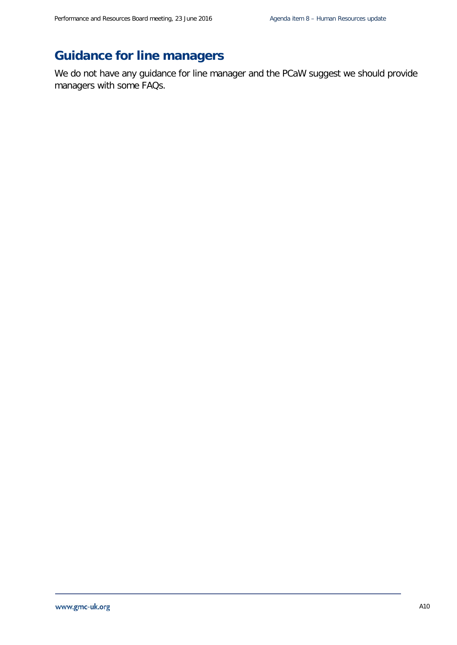## **Guidance for line managers**

We do not have any guidance for line manager and the PCaW suggest we should provide managers with some FAQs.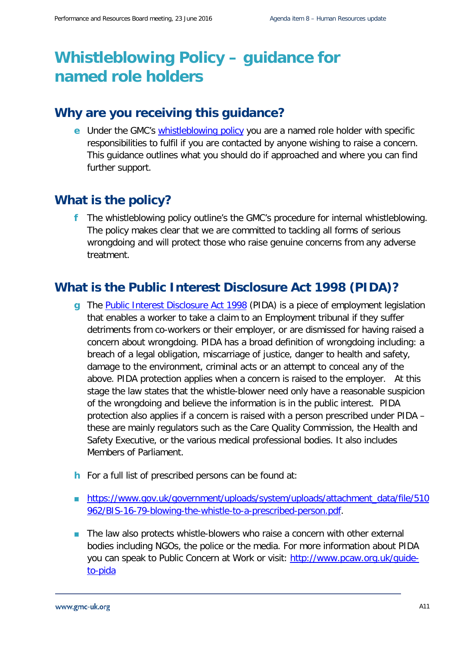# **Whistleblowing Policy – guidance for named role holders**

#### **Why are you receiving this guidance?**

**e** Under the GMC's [whistleblowing policy](http://intranet/cps/rde/xchg/SID-4E98F7E0-BF724DA8/dev_intranet/hs.xsl/388.htm) you are a named role holder with specific responsibilities to fulfil if you are contacted by anyone wishing to raise a concern. This guidance outlines what you should do if approached and where you can find further support.

## **What is the policy?**

**f** The whistleblowing policy outline's the GMC's procedure for internal whistleblowing. The policy makes clear that we are committed to tackling all forms of serious wrongdoing and will protect those who raise genuine concerns from any adverse treatment.

## **What is the Public Interest Disclosure Act 1998 (PIDA)?**

- **g** The [Public Interest Disclosure Act 1998](http://www.legislation.gov.uk/ukpga/1998/23/contents) (PIDA) is a piece of employment legislation that enables a worker to take a claim to an Employment tribunal if they suffer detriments from co-workers or their employer, or are dismissed for having raised a concern about wrongdoing. PIDA has a broad definition of wrongdoing including: a breach of a legal obligation, miscarriage of justice, danger to health and safety, damage to the environment, criminal acts or an attempt to conceal any of the above. PIDA protection applies when a concern is raised to the employer. At this stage the law states that the whistle-blower need only have a reasonable suspicion of the wrongdoing and believe the information is in the public interest. PIDA protection also applies if a concern is raised with a person prescribed under PIDA – these are mainly regulators such as the Care Quality Commission, the Health and Safety Executive, or the various medical professional bodies. It also includes Members of Parliament.
- **h** For a full list of prescribed persons can be found at:
- [https://www.gov.uk/government/uploads/system/uploads/attachment\\_data/file/510](https://www.gov.uk/government/uploads/system/uploads/attachment_data/file/510962/BIS-16-79-blowing-the-whistle-to-a-prescribed-person.pdf) [962/BIS-16-79-blowing-the-whistle-to-a-prescribed-person.pdf.](https://www.gov.uk/government/uploads/system/uploads/attachment_data/file/510962/BIS-16-79-blowing-the-whistle-to-a-prescribed-person.pdf)
- The law also protects whistle-blowers who raise a concern with other external bodies including NGOs, the police or the media. For more information about PIDA you can speak to Public Concern at Work or visit: http://www.pcaw.org.uk/quide[to-pida](http://www.pcaw.org.uk/guide-to-pida)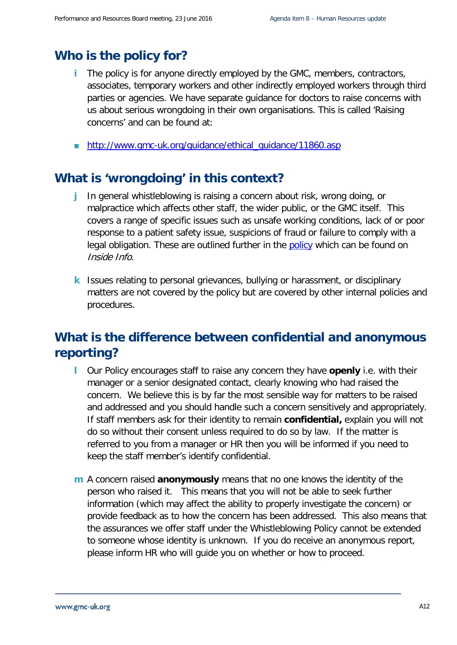#### **Who is the policy for?**

- **i** The policy is for anyone directly employed by the GMC, members, contractors, associates, temporary workers and other indirectly employed workers through third parties or agencies. We have separate guidance for doctors to raise concerns with us about serious wrongdoing in their own organisations. This is called 'Raising concerns' and can be found at:
- [http://www.gmc-uk.org/guidance/ethical\\_guidance/11860.asp](http://www.gmc-uk.org/guidance/ethical_guidance/11860.asp)

#### **What is 'wrongdoing' in this context?**

- **j** In general whistleblowing is raising a concern about risk, wrong doing, or malpractice which affects other staff, the wider public, or the GMC itself. This covers a range of specific issues such as unsafe working conditions, lack of or poor response to a patient safety issue, suspicions of fraud or failure to comply with a legal obligation. These are outlined further in the [policy](http://intranet/cps/rde/xchg/SID-4E98F7E0-BF724DA8/dev_intranet/hs.xsl/388.htm) which can be found on Inside Info.
- **k** Issues relating to personal grievances, bullying or harassment, or disciplinary matters are not covered by the policy but are covered by other internal policies and procedures.

## **What is the difference between confidential and anonymous reporting?**

- **l** Our Policy encourages staff to raise any concern they have **openly** i.e. with their manager or a senior designated contact, clearly knowing who had raised the concern. We believe this is by far the most sensible way for matters to be raised and addressed and you should handle such a concern sensitively and appropriately. If staff members ask for their identity to remain **confidential,** explain you will not do so without their consent unless required to do so by law. If the matter is referred to you from a manager or HR then you will be informed if you need to keep the staff member's identify confidential.
- **m** A concern raised **anonymously** means that no one knows the identity of the person who raised it. This means that you will not be able to seek further information (which may affect the ability to properly investigate the concern) or provide feedback as to how the concern has been addressed. This also means that the assurances we offer staff under the Whistleblowing Policy cannot be extended to someone whose identity is unknown. If you do receive an anonymous report, please inform HR who will guide you on whether or how to proceed.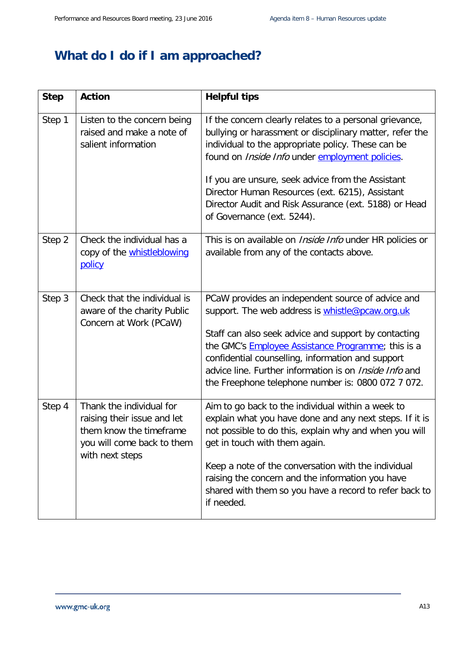## **What do I do if I am approached?**

| <b>Step</b> | <b>Action</b>                                                                                                                       | <b>Helpful tips</b>                                                                                                                                                                                                                                                                                                                                                                                                         |
|-------------|-------------------------------------------------------------------------------------------------------------------------------------|-----------------------------------------------------------------------------------------------------------------------------------------------------------------------------------------------------------------------------------------------------------------------------------------------------------------------------------------------------------------------------------------------------------------------------|
| Step 1      | Listen to the concern being<br>raised and make a note of<br>salient information                                                     | If the concern clearly relates to a personal grievance,<br>bullying or harassment or disciplinary matter, refer the<br>individual to the appropriate policy. These can be<br>found on Inside Info under employment policies.<br>If you are unsure, seek advice from the Assistant<br>Director Human Resources (ext. 6215), Assistant<br>Director Audit and Risk Assurance (ext. 5188) or Head<br>of Governance (ext. 5244). |
| Step 2      | Check the individual has a<br>copy of the <b>whistleblowing</b><br><b>policy</b>                                                    | This is on available on <i>Inside Info</i> under HR policies or<br>available from any of the contacts above.                                                                                                                                                                                                                                                                                                                |
| Step 3      | Check that the individual is<br>aware of the charity Public<br>Concern at Work (PCaW)                                               | PCaW provides an independent source of advice and<br>support. The web address is whistle@pcaw.org.uk<br>Staff can also seek advice and support by contacting<br>the GMC's <b>Employee Assistance Programme</b> ; this is a<br>confidential counselling, information and support<br>advice line. Further information is on <i>Inside Info</i> and<br>the Freephone telephone number is: 0800 072 7 072.                      |
| Step 4      | Thank the individual for<br>raising their issue and let<br>them know the timeframe<br>you will come back to them<br>with next steps | Aim to go back to the individual within a week to<br>explain what you have done and any next steps. If it is<br>not possible to do this, explain why and when you will<br>get in touch with them again.<br>Keep a note of the conversation with the individual<br>raising the concern and the information you have<br>shared with them so you have a record to refer back to<br>if needed.                                  |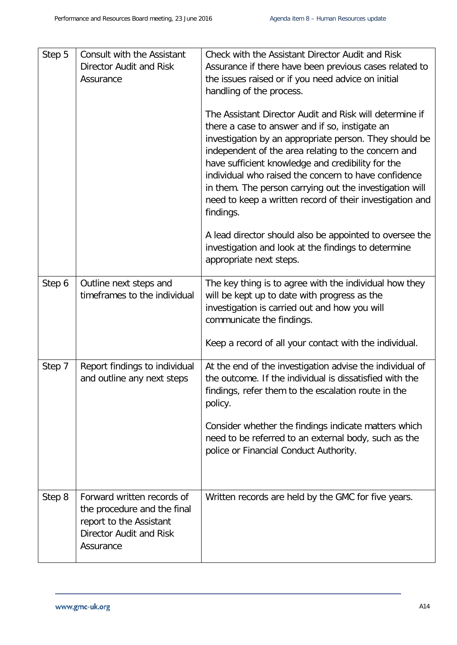| Step 5 | Consult with the Assistant<br>Director Audit and Risk<br>Assurance                                                                  | Check with the Assistant Director Audit and Risk<br>Assurance if there have been previous cases related to<br>the issues raised or if you need advice on initial<br>handling of the process.                                                                                                                                                                                                                                                                                |
|--------|-------------------------------------------------------------------------------------------------------------------------------------|-----------------------------------------------------------------------------------------------------------------------------------------------------------------------------------------------------------------------------------------------------------------------------------------------------------------------------------------------------------------------------------------------------------------------------------------------------------------------------|
|        |                                                                                                                                     | The Assistant Director Audit and Risk will determine if<br>there a case to answer and if so, instigate an<br>investigation by an appropriate person. They should be<br>independent of the area relating to the concern and<br>have sufficient knowledge and credibility for the<br>individual who raised the concern to have confidence<br>in them. The person carrying out the investigation will<br>need to keep a written record of their investigation and<br>findings. |
|        |                                                                                                                                     | A lead director should also be appointed to oversee the<br>investigation and look at the findings to determine<br>appropriate next steps.                                                                                                                                                                                                                                                                                                                                   |
| Step 6 | Outline next steps and<br>timeframes to the individual                                                                              | The key thing is to agree with the individual how they<br>will be kept up to date with progress as the<br>investigation is carried out and how you will<br>communicate the findings.<br>Keep a record of all your contact with the individual.                                                                                                                                                                                                                              |
|        |                                                                                                                                     |                                                                                                                                                                                                                                                                                                                                                                                                                                                                             |
| Step 7 | Report findings to individual<br>and outline any next steps                                                                         | At the end of the investigation advise the individual of<br>the outcome. If the individual is dissatisfied with the<br>findings, refer them to the escalation route in the<br>policy.<br>Consider whether the findings indicate matters which<br>need to be referred to an external body, such as the                                                                                                                                                                       |
|        |                                                                                                                                     | police or Financial Conduct Authority.                                                                                                                                                                                                                                                                                                                                                                                                                                      |
| Step 8 | Forward written records of<br>the procedure and the final<br>report to the Assistant<br><b>Director Audit and Risk</b><br>Assurance | Written records are held by the GMC for five years.                                                                                                                                                                                                                                                                                                                                                                                                                         |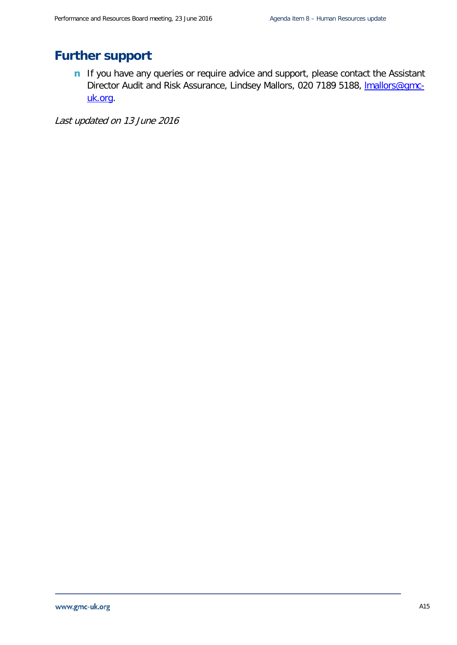## **Further support**

**n** If you have any queries or require advice and support, please contact the Assistant Director Audit and Risk Assurance, Lindsey Mallors, 020 7189 5188, *Imallors@gmc*[uk.org.](mailto:lmallors@gmc-uk.org)

Last updated on 13 June 2016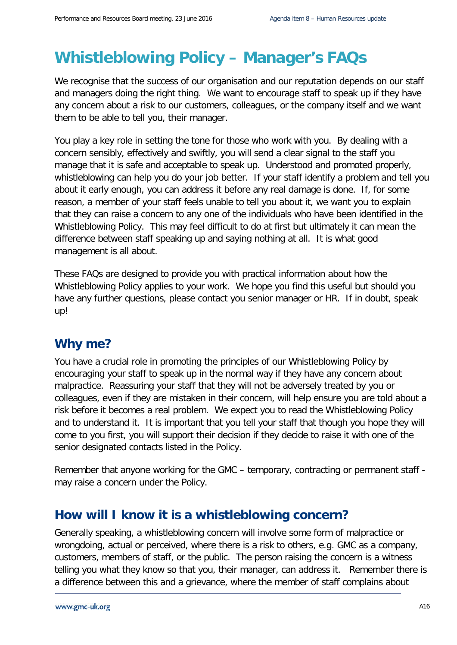# **Whistleblowing Policy – Manager's FAQs**

We recognise that the success of our organisation and our reputation depends on our staff and managers doing the right thing. We want to encourage staff to speak up if they have any concern about a risk to our customers, colleagues, or the company itself and we want them to be able to tell you, their manager.

You play a key role in setting the tone for those who work with you. By dealing with a concern sensibly, effectively and swiftly, you will send a clear signal to the staff you manage that it is safe and acceptable to speak up. Understood and promoted properly, whistleblowing can help you do your job better. If your staff identify a problem and tell you about it early enough, you can address it before any real damage is done. If, for some reason, a member of your staff feels unable to tell you about it, we want you to explain that they can raise a concern to any one of the individuals who have been identified in the Whistleblowing Policy. This may feel difficult to do at first but ultimately it can mean the difference between staff speaking up and saying nothing at all. It is what good management is all about.

These FAQs are designed to provide you with practical information about how the Whistleblowing Policy applies to your work. We hope you find this useful but should you have any further questions, please contact you senior manager or HR. If in doubt, speak up!

## **Why me?**

You have a crucial role in promoting the principles of our Whistleblowing Policy by encouraging your staff to speak up in the normal way if they have any concern about malpractice. Reassuring your staff that they will not be adversely treated by you or colleagues, even if they are mistaken in their concern, will help ensure you are told about a risk before it becomes a real problem. We expect you to read the Whistleblowing Policy and to understand it. It is important that you tell your staff that though you hope they will come to you first, you will support their decision if they decide to raise it with one of the senior designated contacts listed in the Policy.

Remember that anyone working for the GMC – temporary, contracting or permanent staff may raise a concern under the Policy.

#### **How will I know it is a whistleblowing concern?**

Generally speaking, a whistleblowing concern will involve some form of malpractice or wrongdoing, actual or perceived, where there is a risk to others, e.g. GMC as a company, customers, members of staff, or the public. The person raising the concern is a witness telling you what they know so that you, their manager, can address it. Remember there is a difference between this and a grievance, where the member of staff complains about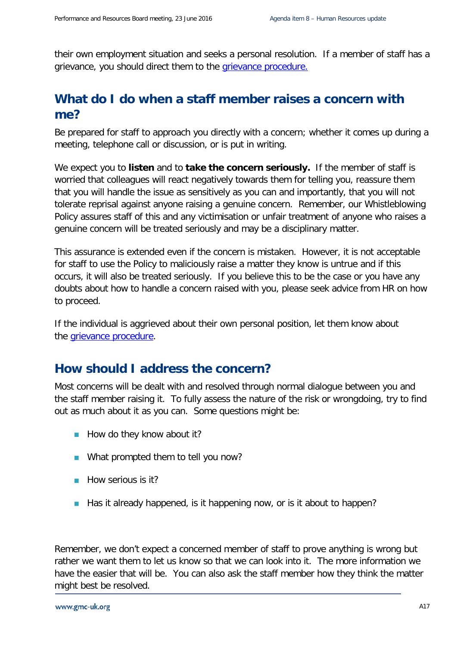their own employment situation and seeks a personal resolution. If a member of staff has a grievance, you should direct them to the [grievance procedure.](http://intranet/cps/rde/xbcr/SID-90A53EF8-09E54DB0/dev_intranet/Grievance_Policy___revised_Oct_2014.pdf_57991822.pdf)

## **What do I do when a staff member raises a concern with me?**

Be prepared for staff to approach you directly with a concern; whether it comes up during a meeting, telephone call or discussion, or is put in writing.

We expect you to **listen** and to **take the concern seriously.** If the member of staff is worried that colleagues will react negatively towards them for telling you, reassure them that you will handle the issue as sensitively as you can and importantly, that you will not tolerate reprisal against anyone raising a genuine concern. Remember, our Whistleblowing Policy assures staff of this and any victimisation or unfair treatment of anyone who raises a genuine concern will be treated seriously and may be a disciplinary matter.

This assurance is extended even if the concern is mistaken. However, it is not acceptable for staff to use the Policy to maliciously raise a matter they know is untrue and if this occurs, it will also be treated seriously. If you believe this to be the case or you have any doubts about how to handle a concern raised with you, please seek advice from HR on how to proceed.

If the individual is aggrieved about their own personal position, let them know about the [grievance procedure.](http://intranet/cps/rde/xbcr/SID-90A53EF8-09E54DB0/dev_intranet/Grievance_Policy___revised_Oct_2014.pdf_57991822.pdf)

#### **How should I address the concern?**

Most concerns will be dealt with and resolved through normal dialogue between you and the staff member raising it. To fully assess the nature of the risk or wrongdoing, try to find out as much about it as you can. Some questions might be:

- $\blacksquare$  How do they know about it?
- What prompted them to tell you now?
- **How serious is it?**
- $\blacksquare$  Has it already happened, is it happening now, or is it about to happen?

Remember, we don't expect a concerned member of staff to prove anything is wrong but rather we want them to let us know so that we can look into it. The more information we have the easier that will be. You can also ask the staff member how they think the matter might best be resolved.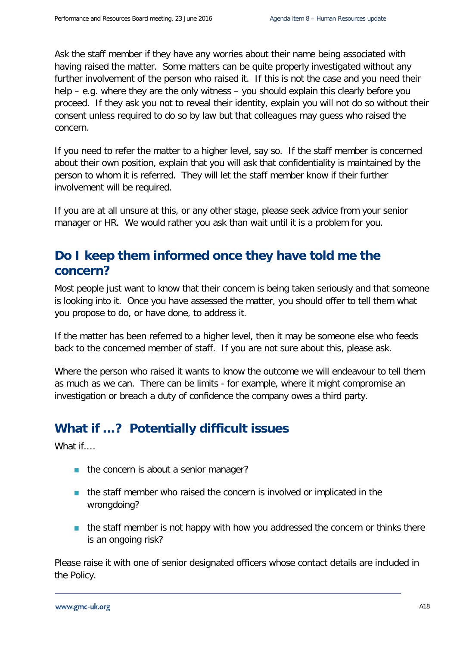Ask the staff member if they have any worries about their name being associated with having raised the matter. Some matters can be quite properly investigated without any further involvement of the person who raised it. If this is not the case and you need their help – e.g. where they are the only witness – you should explain this clearly before you proceed. If they ask you not to reveal their identity, explain you will not do so without their consent unless required to do so by law but that colleagues may guess who raised the concern.

If you need to refer the matter to a higher level, say so. If the staff member is concerned about their own position, explain that you will ask that confidentiality is maintained by the person to whom it is referred. They will let the staff member know if their further involvement will be required.

If you are at all unsure at this, or any other stage, please seek advice from your senior manager or HR. We would rather you ask than wait until it is a problem for you.

## **Do I keep them informed once they have told me the concern?**

Most people just want to know that their concern is being taken seriously and that someone is looking into it. Once you have assessed the matter, you should offer to tell them what you propose to do, or have done, to address it.

If the matter has been referred to a higher level, then it may be someone else who feeds back to the concerned member of staff. If you are not sure about this, please ask.

Where the person who raised it wants to know the outcome we will endeavour to tell them as much as we can. There can be limits - for example, where it might compromise an investigation or breach a duty of confidence the company owes a third party.

## **What if …? Potentially difficult issues**

What if....

- $\blacksquare$  the concern is about a senior manager?
- **the staff member who raised the concern is involved or implicated in the** wrongdoing?
- $\blacksquare$  the staff member is not happy with how you addressed the concern or thinks there is an ongoing risk?

Please raise it with one of senior designated officers whose contact details are included in the Policy.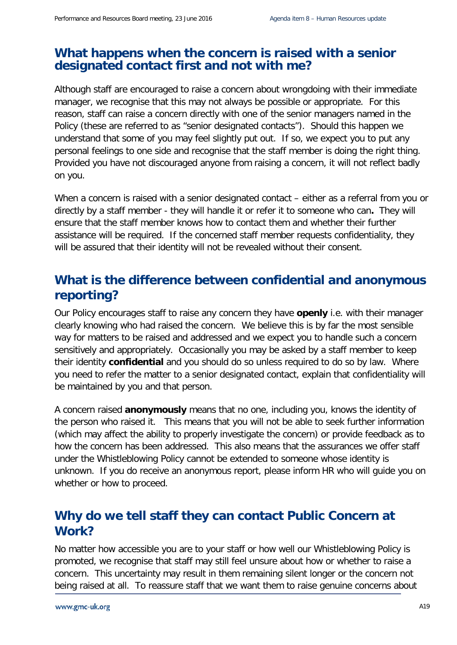#### **What happens when the concern is raised with a senior designated contact first and not with me?**

Although staff are encouraged to raise a concern about wrongdoing with their immediate manager, we recognise that this may not always be possible or appropriate. For this reason, staff can raise a concern directly with one of the senior managers named in the Policy (these are referred to as "senior designated contacts"). Should this happen we understand that some of you may feel slightly put out. If so, we expect you to put any personal feelings to one side and recognise that the staff member is doing the right thing. Provided you have not discouraged anyone from raising a concern, it will not reflect badly on you.

When a concern is raised with a senior designated contact – either as a referral from you or directly by a staff member - they will handle it or refer it to someone who can**.** They will ensure that the staff member knows how to contact them and whether their further assistance will be required. If the concerned staff member requests confidentiality, they will be assured that their identity will not be revealed without their consent.

## **What is the difference between confidential and anonymous reporting?**

Our Policy encourages staff to raise any concern they have **openly** i.e. with their manager clearly knowing who had raised the concern. We believe this is by far the most sensible way for matters to be raised and addressed and we expect you to handle such a concern sensitively and appropriately. Occasionally you may be asked by a staff member to keep their identity **confidential** and you should do so unless required to do so by law. Where you need to refer the matter to a senior designated contact, explain that confidentiality will be maintained by you and that person.

A concern raised **anonymously** means that no one, including you, knows the identity of the person who raised it. This means that you will not be able to seek further information (which may affect the ability to properly investigate the concern) or provide feedback as to how the concern has been addressed. This also means that the assurances we offer staff under the Whistleblowing Policy cannot be extended to someone whose identity is unknown. If you do receive an anonymous report, please inform HR who will guide you on whether or how to proceed.

#### **Why do we tell staff they can contact Public Concern at Work?**

No matter how accessible you are to your staff or how well our Whistleblowing Policy is promoted, we recognise that staff may still feel unsure about how or whether to raise a concern. This uncertainty may result in them remaining silent longer or the concern not being raised at all. To reassure staff that we want them to raise genuine concerns about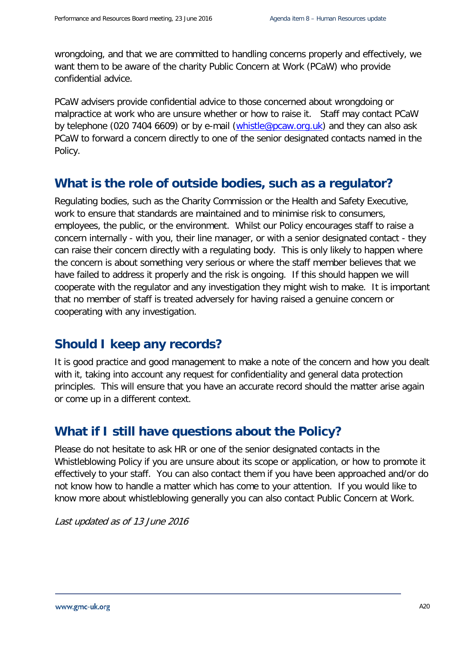wrongdoing, and that we are committed to handling concerns properly and effectively, we want them to be aware of the charity Public Concern at Work (PCaW) who provide confidential advice.

PCaW advisers provide confidential advice to those concerned about wrongdoing or malpractice at work who are unsure whether or how to raise it. Staff may contact PCaW by telephone (020 7404 6609) or by e-mail [\(whistle@pcaw.org.uk\)](mailto:whistle@pcaw.org.uk) and they can also ask PCaW to forward a concern directly to one of the senior designated contacts named in the Policy.

#### **What is the role of outside bodies, such as a regulator?**

Regulating bodies, such as the Charity Commission or the Health and Safety Executive, work to ensure that standards are maintained and to minimise risk to consumers, employees, the public, or the environment. Whilst our Policy encourages staff to raise a concern internally - with you, their line manager, or with a senior designated contact - they can raise their concern directly with a regulating body. This is only likely to happen where the concern is about something very serious or where the staff member believes that we have failed to address it properly and the risk is ongoing. If this should happen we will cooperate with the regulator and any investigation they might wish to make. It is important that no member of staff is treated adversely for having raised a genuine concern or cooperating with any investigation.

#### **Should I keep any records?**

It is good practice and good management to make a note of the concern and how you dealt with it, taking into account any request for confidentiality and general data protection principles. This will ensure that you have an accurate record should the matter arise again or come up in a different context.

#### **What if I still have questions about the Policy?**

Please do not hesitate to ask HR or one of the senior designated contacts in the Whistleblowing Policy if you are unsure about its scope or application, or how to promote it effectively to your staff. You can also contact them if you have been approached and/or do not know how to handle a matter which has come to your attention. If you would like to know more about whistleblowing generally you can also contact Public Concern at Work.

Last updated as of 13 June 2016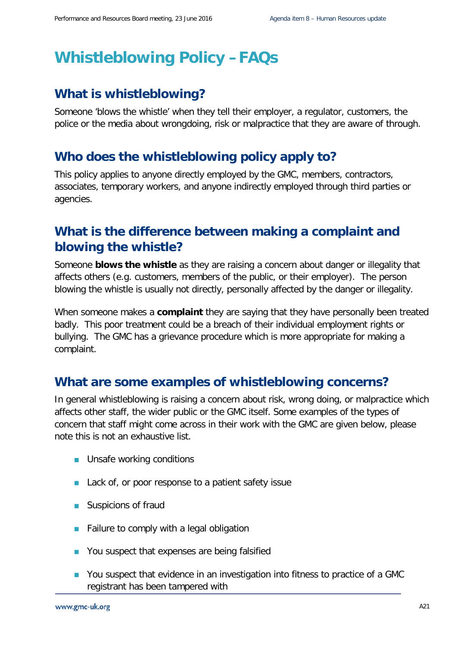# **Whistleblowing Policy –FAQs**

## **What is whistleblowing?**

Someone 'blows the whistle' when they tell their employer, a regulator, customers, the police or the media about wrongdoing, risk or malpractice that they are aware of through.

#### **Who does the whistleblowing policy apply to?**

This policy applies to anyone directly employed by the GMC, members, contractors, associates, temporary workers, and anyone indirectly employed through third parties or agencies.

## **What is the difference between making a complaint and blowing the whistle?**

Someone **blows the whistle** as they are raising a concern about danger or illegality that affects others (e.g. customers, members of the public, or their employer). The person blowing the whistle is usually not directly, personally affected by the danger or illegality.

When someone makes a **complaint** they are saying that they have personally been treated badly. This poor treatment could be a breach of their individual employment rights or bullying. The GMC has a grievance procedure which is more appropriate for making a complaint.

## **What are some examples of whistleblowing concerns?**

In general whistleblowing is raising a concern about risk, wrong doing, or malpractice which affects other staff, the wider public or the GMC itself. Some examples of the types of concern that staff might come across in their work with the GMC are given below, please note this is not an exhaustive list.

- **Unsafe working conditions**
- Lack of, or poor response to a patient safety issue
- **Suspicions of fraud**
- **Failure to comply with a legal obligation**
- You suspect that expenses are being falsified
- You suspect that evidence in an investigation into fitness to practice of a GMC registrant has been tampered with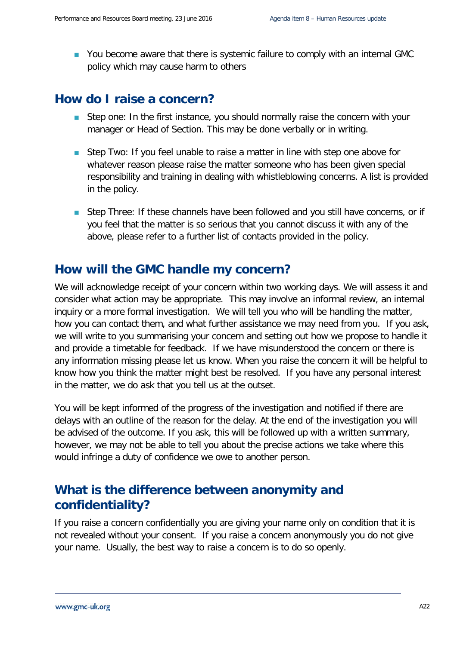■ You become aware that there is systemic failure to comply with an internal GMC policy which may cause harm to others

#### **How do I raise a concern?**

- Step one: In the first instance, you should normally raise the concern with your manager or Head of Section. This may be done verbally or in writing.
- Step Two: If you feel unable to raise a matter in line with step one above for whatever reason please raise the matter someone who has been given special responsibility and training in dealing with whistleblowing concerns. A list is provided in the policy.
- Step Three: If these channels have been followed and you still have concerns, or if you feel that the matter is so serious that you cannot discuss it with any of the above, please refer to a further list of contacts provided in the policy.

## **How will the GMC handle my concern?**

We will acknowledge receipt of your concern within two working days. We will assess it and consider what action may be appropriate. This may involve an informal review, an internal inquiry or a more formal investigation. We will tell you who will be handling the matter, how you can contact them, and what further assistance we may need from you. If you ask, we will write to you summarising your concern and setting out how we propose to handle it and provide a timetable for feedback. If we have misunderstood the concern or there is any information missing please let us know. When you raise the concern it will be helpful to know how you think the matter might best be resolved. If you have any personal interest in the matter, we do ask that you tell us at the outset.

You will be kept informed of the progress of the investigation and notified if there are delays with an outline of the reason for the delay. At the end of the investigation you will be advised of the outcome. If you ask, this will be followed up with a written summary, however, we may not be able to tell you about the precise actions we take where this would infringe a duty of confidence we owe to another person.

## **What is the difference between anonymity and confidentiality?**

If you raise a concern confidentially you are giving your name only on condition that it is not revealed without your consent. If you raise a concern anonymously you do not give your name. Usually, the best way to raise a concern is to do so openly.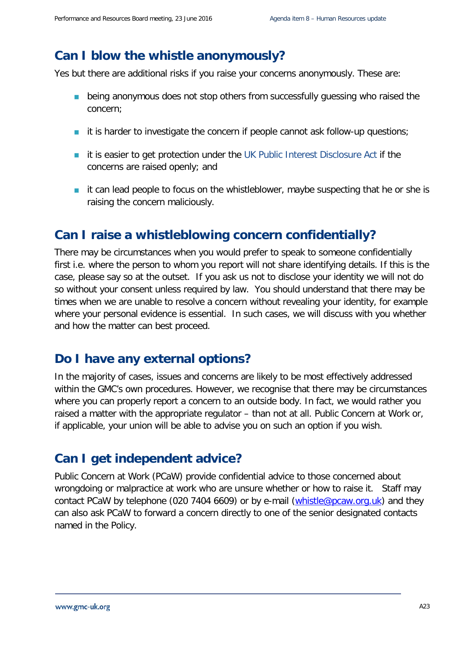#### **Can I blow the whistle anonymously?**

Yes but there are additional risks if you raise your concerns anonymously. These are:

- **being anonymous does not stop others from successfully quessing who raised the** concern;
- it is harder to investigate the concern if people cannot ask follow-up questions;
- it is easier to get protection under the [UK Public Interest Disclosure Act](http://www.pcaw.co.uk/law-policy/a-guide-to-pida) if the concerns are raised openly; and
- $\blacksquare$  it can lead people to focus on the whistleblower, maybe suspecting that he or she is raising the concern maliciously.

## **Can I raise a whistleblowing concern confidentially?**

There may be circumstances when you would prefer to speak to someone confidentially first i.e. where the person to whom you report will not share identifying details. If this is the case, please say so at the outset. If you ask us not to disclose your identity we will not do so without your consent unless required by law. You should understand that there may be times when we are unable to resolve a concern without revealing your identity, for example where your personal evidence is essential. In such cases, we will discuss with you whether and how the matter can best proceed.

#### **Do I have any external options?**

In the majority of cases, issues and concerns are likely to be most effectively addressed within the GMC's own procedures. However, we recognise that there may be circumstances where you can properly report a concern to an outside body. In fact, we would rather you raised a matter with the appropriate regulator – than not at all. Public Concern at Work or, if applicable, your union will be able to advise you on such an option if you wish.

#### **Can I get independent advice?**

Public Concern at Work (PCaW) provide confidential advice to those concerned about wrongdoing or malpractice at work who are unsure whether or how to raise it. Staff may contact PCaW by telephone (020 7404 6609) or by e-mail [\(whistle@pcaw.org.uk\)](mailto:whistle@pcaw.org.uk) and they can also ask PCaW to forward a concern directly to one of the senior designated contacts named in the Policy.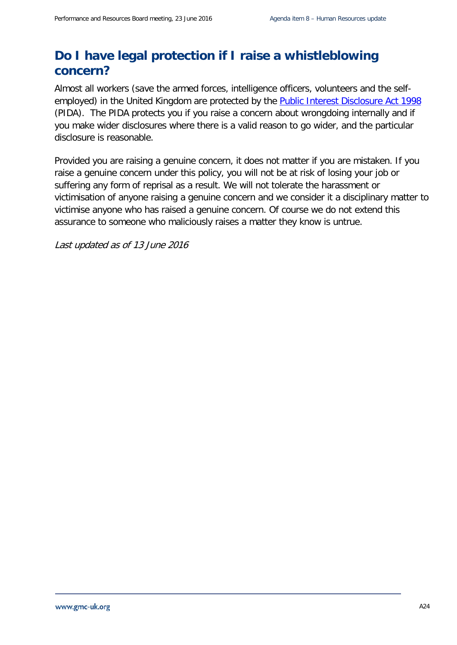## **Do I have legal protection if I raise a whistleblowing concern?**

Almost all workers (save the armed forces, intelligence officers, volunteers and the selfemployed) in the United Kingdom are protected by the **Public Interest Disclosure Act 1998** (PIDA). The PIDA protects you if you raise a concern about wrongdoing internally and if you make wider disclosures where there is a valid reason to go wider, and the particular disclosure is reasonable.

Provided you are raising a genuine concern, it does not matter if you are mistaken. If you raise a genuine concern under this policy, you will not be at risk of losing your job or suffering any form of reprisal as a result. We will not tolerate the harassment or victimisation of anyone raising a genuine concern and we consider it a disciplinary matter to victimise anyone who has raised a genuine concern. Of course we do not extend this assurance to someone who maliciously raises a matter they know is untrue.

Last updated as of 13 June 2016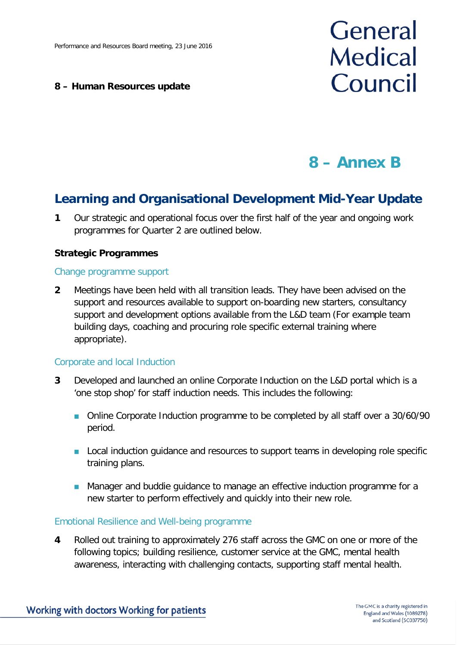#### **8 – Human Resources update**

# General **Medical** Council

## **8 – Annex B**

## **Learning and Organisational Development Mid-Year Update**

**1** Our strategic and operational focus over the first half of the year and ongoing work programmes for Quarter 2 are outlined below.

#### **Strategic Programmes**

#### Change programme support

**2** Meetings have been held with all transition leads. They have been advised on the support and resources available to support on-boarding new starters, consultancy support and development options available from the L&D team (For example team building days, coaching and procuring role specific external training where appropriate).

#### Corporate and local Induction

- **3** Developed and launched an online Corporate Induction on the L&D portal which is a 'one stop shop' for staff induction needs. This includes the following:
	- Online Corporate Induction programme to be completed by all staff over a 30/60/90 period.
	- **Local induction quidance and resources to support teams in developing role specific** training plans.
	- **Manager and buddie guidance to manage an effective induction programme for a** new starter to perform effectively and quickly into their new role.

#### Emotional Resilience and Well-being programme

**4** Rolled out training to approximately 276 staff across the GMC on one or more of the following topics; building resilience, customer service at the GMC, mental health awareness, interacting with challenging contacts, supporting staff mental health.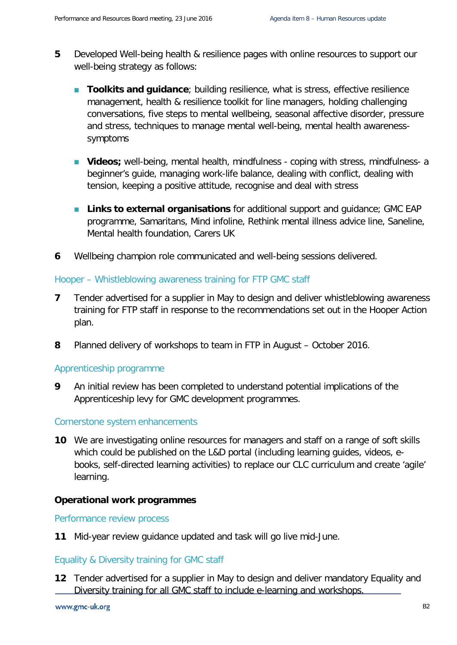- **5** Developed Well-being health & resilience pages with online resources to support our well-being strategy as follows:
	- **Toolkits and guidance**; building resilience, what is stress, effective resilience management, health & resilience toolkit for line managers, holding challenging conversations, five steps to mental wellbeing, seasonal affective disorder, pressure and stress, techniques to manage mental well-being, mental health awarenesssymptoms
	- **Videos**; well-being, mental health, mindfulness coping with stress, mindfulness- a beginner's guide, managing work-life balance, dealing with conflict, dealing with tension, keeping a positive attitude, recognise and deal with stress
	- **Links to external organisations** for additional support and quidance; GMC EAP programme, Samaritans, Mind infoline, Rethink mental illness advice line, Saneline, Mental health foundation, Carers UK
- **6** Wellbeing champion role communicated and well-being sessions delivered.

#### Hooper – Whistleblowing awareness training for FTP GMC staff

- **7** Tender advertised for a supplier in May to design and deliver whistleblowing awareness training for FTP staff in response to the recommendations set out in the Hooper Action plan.
- **8** Planned delivery of workshops to team in FTP in August October 2016.

#### Apprenticeship programme

**9** An initial review has been completed to understand potential implications of the Apprenticeship levy for GMC development programmes.

#### Cornerstone system enhancements

**10** We are investigating online resources for managers and staff on a range of soft skills which could be published on the L&D portal (including learning guides, videos, ebooks, self-directed learning activities) to replace our CLC curriculum and create 'agile' learning.

#### **Operational work programmes**

Performance review process

**11** Mid-year review guidance updated and task will go live mid-June.

#### Equality & Diversity training for GMC staff

**12** Tender advertised for a supplier in May to design and deliver mandatory Equality and Diversity training for all GMC staff to include e-learning and workshops.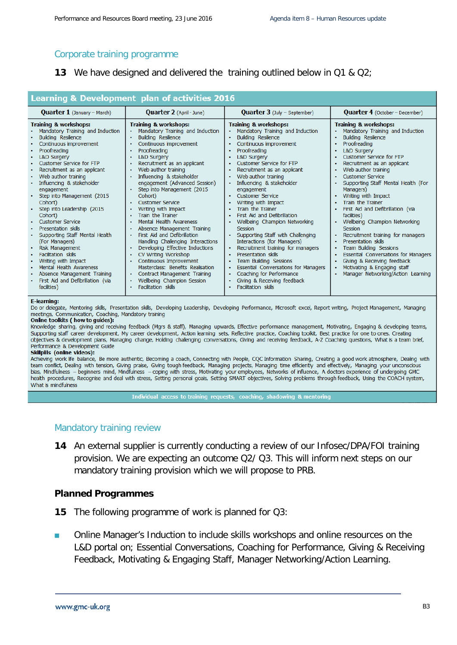#### Corporate training programme

**13** We have designed and delivered the training outlined below in Q1 & Q2;

| <b>Learning &amp; Development plan of activities 2016</b>                                                                                                                                                                                                                                                                                                                                                                                                                                                                                                                                                                                                                  |                                                                                                                                                                                                                                                                                                                                                                                                                                                                                                                                                                                                                                                                                                                                                           |                                                                                                                                                                                                                                                                                                                                                                                                                                                                                                                                                                                                                                                                                                                                                                 |                                                                                                                                                                                                                                                                                                                                                                                                                                                                                                                                                                                                                                                                                                                                                      |
|----------------------------------------------------------------------------------------------------------------------------------------------------------------------------------------------------------------------------------------------------------------------------------------------------------------------------------------------------------------------------------------------------------------------------------------------------------------------------------------------------------------------------------------------------------------------------------------------------------------------------------------------------------------------------|-----------------------------------------------------------------------------------------------------------------------------------------------------------------------------------------------------------------------------------------------------------------------------------------------------------------------------------------------------------------------------------------------------------------------------------------------------------------------------------------------------------------------------------------------------------------------------------------------------------------------------------------------------------------------------------------------------------------------------------------------------------|-----------------------------------------------------------------------------------------------------------------------------------------------------------------------------------------------------------------------------------------------------------------------------------------------------------------------------------------------------------------------------------------------------------------------------------------------------------------------------------------------------------------------------------------------------------------------------------------------------------------------------------------------------------------------------------------------------------------------------------------------------------------|------------------------------------------------------------------------------------------------------------------------------------------------------------------------------------------------------------------------------------------------------------------------------------------------------------------------------------------------------------------------------------------------------------------------------------------------------------------------------------------------------------------------------------------------------------------------------------------------------------------------------------------------------------------------------------------------------------------------------------------------------|
| <b>Quarter 1</b> (January - March)                                                                                                                                                                                                                                                                                                                                                                                                                                                                                                                                                                                                                                         | <b>Quarter 2</b> (April - June)                                                                                                                                                                                                                                                                                                                                                                                                                                                                                                                                                                                                                                                                                                                           | Quarter 3 (July - September)                                                                                                                                                                                                                                                                                                                                                                                                                                                                                                                                                                                                                                                                                                                                    | <b>Quarter 4</b> (October – December)                                                                                                                                                                                                                                                                                                                                                                                                                                                                                                                                                                                                                                                                                                                |
| <b>Training &amp; workshops:</b><br>Mandatory Training and Induction<br><b>Building Resilience</b><br>Continuous improvement<br>Proofreading<br><b>L&amp;D Surgery</b><br>Customer Service for FTP<br>Recruitment as an applicant<br>Web author training<br>Influencing & stakeholder<br>engagement<br>Step into Management (2015<br>Cohort)<br>Step into Leadership (2015<br>Cohort)<br><b>Customer Service</b><br>Presentation skills<br>Supporting Staff Mental Health<br>(For Managers)<br>Risk Management<br>Facilitation skills<br>Writing with Impact<br>Mental Health Awareness<br>Absence Management Training<br>First Aid and Defibrillation (via<br>facilities) | <b>Training &amp; workshops:</b><br>Mandatory Training and Induction<br><b>Building Resilience</b><br>Continuous improvement<br>Proofreading<br><b>L&amp;D Surgery</b><br>Recruitment as an applicant<br>Web author training<br>Influencing & stakeholder<br>engagement (Advanced Session)<br>• Step into Management (2015<br>Cohort)<br><b>Customer Service</b><br>Writing with Impact<br>Train the Trainer<br>Mental Health Awareness<br>Absence Management Training<br>First Aid and Defibrillation<br>Handling Challenging Interactions<br>Developing Effective Inductions<br>CV Writing Workshop<br>Continuous Improvement<br>Masterclass: Benefits Realisation<br>Contract Management Training<br>Wellbeing Champion Session<br>Facilitation skills | <b>Training &amp; workshops:</b><br>Mandatory Training and Induction<br><b>Building Resilience</b><br>Continuous improvement<br>Proofreading<br><b>L&amp;D Surgery</b><br><b>Customer Service for FTP</b><br>Recruitment as an applicant<br>Web author training<br>Influencing & stakeholder<br>engagement<br><b>Customer Service</b><br>Writing with Impact<br>Train the Trainer<br>First Aid and Defibrillation<br>Wellbeing Champion Networking<br>Session<br>Supporting Staff with Challenging<br>Interactions (for Managers)<br>Recruitment training for managers<br>Presentation skills<br><b>Team Building Sessions</b><br>Essential Conversations for Managers<br>Coaching for Performance<br>Giving & Receiving feedback<br><b>Facilitation skills</b> | <b>Training &amp; workshops:</b><br>Mandatory Training and Induction<br><b>Building Resilience</b><br>٠<br>Proofreading<br><b>L&amp;D Surgery</b><br><b>Customer Service for FTP</b><br>Recruitment as an applicant<br>Web author training<br>٠<br><b>Customer Service</b><br>$\bullet$<br>Supporting Staff Mental Health (For<br>Managers)<br>Writing with Impact<br>٠<br>Train the Trainer<br>First Aid and Defibrillation (via<br>facilities)<br>Wellbeing Champion Networking<br>٠<br>Session<br>Recruitment training for managers<br>٠<br>Presentation skills<br><b>Team Building Sessions</b><br>Essential Conversations for Managers<br>٠<br>Giving & Receiving feedback<br>Motivating & Engaging staff<br>Manager Networking/Action Learning |

#### **E-learning:**

Do or delegate, Mentoring skills, Presentation skills, Developing Leadership, Developing Performance, Microsoft excel, Report writing, Project Management, Managing meetings, Communication, Coaching, Mandatory training

#### Online toolkits ( how to guides):

Knowledge sharing, giving and receiving feedback (Mgrs & staff), Managing upwards, Effective performance management, Motivating, Engaging & developing teams, Supporting staff career development, My career development, Action learning sets, Reflective practice, Coaching toolkit, Best practice for one to ones, Creating objectives & development plans, Managing change, Holding challenging conversations, Giving and receiving feedback, A-Z Coaching questions, What is a team brief, Performance & Development Guide

#### Skillpills (online videos):

Achieving work life balance, Be more authentic, Becoming a coach, Connecting with People, CQC Information Sharing, Creating a good work atmosphere, Dealing with team conflict, Dealing with tension, Giving praise, Giving tough feedback, Managing projects, Managing time efficiently and effectively, Managing your unconscious bias, Mindfulness - beginners mind, Mindfulness - coping with stress, Motivating your employees, Networks of influence, A doctors experience of undergoing GMC health procedures, Recognise and deal with stress, Setting personal goals, Setting SMART objectives, Solving problems through feedback, Using the COACH system, What is mindfulness

Individual access to training requests, coaching, shadowing & mentoring

#### Mandatory training review

**14** An external supplier is currently conducting a review of our Infosec/DPA/FOI training provision. We are expecting an outcome Q2/ Q3. This will inform next steps on our mandatory training provision which we will propose to PRB.

#### **Planned Programmes**

- **15** The following programme of work is planned for Q3:
- Online Manager's Induction to include skills workshops and online resources on the L&D portal on; Essential Conversations, Coaching for Performance, Giving & Receiving Feedback, Motivating & Engaging Staff, Manager Networking/Action Learning.